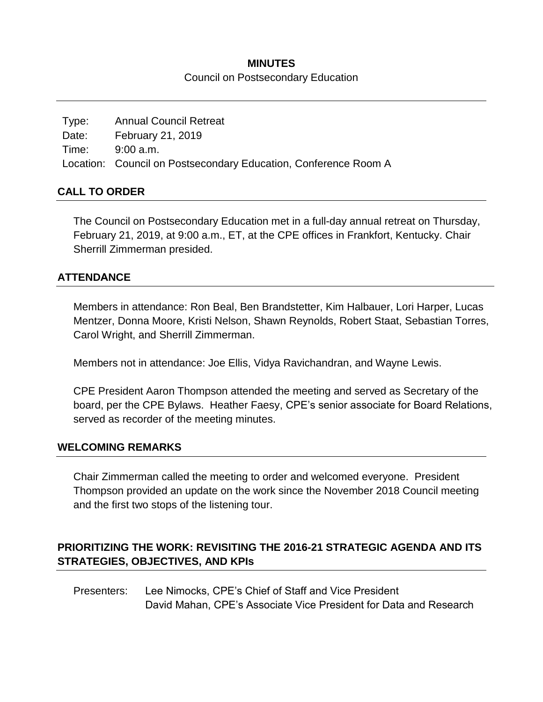## **MINUTES** Council on Postsecondary Education

| Type: | <b>Annual Council Retreat</b>                                   |
|-------|-----------------------------------------------------------------|
| Date: | February 21, 2019                                               |
|       | Time: 9:00 a.m.                                                 |
|       | Location: Council on Postsecondary Education, Conference Room A |

#### **CALL TO ORDER**

The Council on Postsecondary Education met in a full-day annual retreat on Thursday, February 21, 2019, at 9:00 a.m., ET, at the CPE offices in Frankfort, Kentucky. Chair Sherrill Zimmerman presided.

## **ATTENDANCE**

Members in attendance: Ron Beal, Ben Brandstetter, Kim Halbauer, Lori Harper, Lucas Mentzer, Donna Moore, Kristi Nelson, Shawn Reynolds, Robert Staat, Sebastian Torres, Carol Wright, and Sherrill Zimmerman.

Members not in attendance: Joe Ellis, Vidya Ravichandran, and Wayne Lewis.

CPE President Aaron Thompson attended the meeting and served as Secretary of the board, per the CPE Bylaws. Heather Faesy, CPE's senior associate for Board Relations, served as recorder of the meeting minutes.

#### **WELCOMING REMARKS**

Chair Zimmerman called the meeting to order and welcomed everyone. President Thompson provided an update on the work since the November 2018 Council meeting and the first two stops of the listening tour.

# **PRIORITIZING THE WORK: REVISITING THE 2016-21 STRATEGIC AGENDA AND ITS STRATEGIES, OBJECTIVES, AND KPIs**

Presenters: Lee Nimocks, CPE's Chief of Staff and Vice President David Mahan, CPE's Associate Vice President for Data and Research